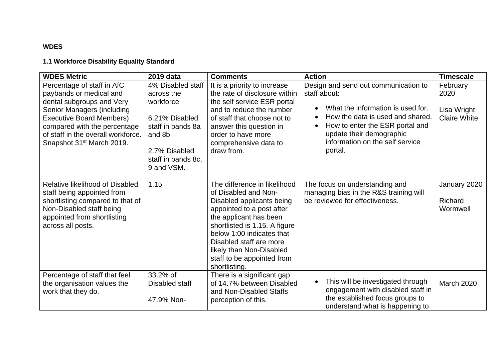## **WDES**

## **1.1 Workforce Disability Equality Standard**

| <b>WDES Metric</b>                                                                                                                                                                                                                                                 | 2019 data                                                                                                                                          | <b>Comments</b>                                                                                                                                                                                                                                                                                              | <b>Action</b>                                                                                                                                                                                                                                                                     | <b>Timescale</b>                                       |
|--------------------------------------------------------------------------------------------------------------------------------------------------------------------------------------------------------------------------------------------------------------------|----------------------------------------------------------------------------------------------------------------------------------------------------|--------------------------------------------------------------------------------------------------------------------------------------------------------------------------------------------------------------------------------------------------------------------------------------------------------------|-----------------------------------------------------------------------------------------------------------------------------------------------------------------------------------------------------------------------------------------------------------------------------------|--------------------------------------------------------|
| Percentage of staff in AfC<br>paybands or medical and<br>dental subgroups and Very<br>Senior Managers (including<br><b>Executive Board Members)</b><br>compared with the percentage<br>of staff in the overall workforce.<br>Snapshot 31 <sup>st</sup> March 2019. | 4% Disabled staff<br>across the<br>workforce<br>6.21% Disabled<br>staff in bands 8a<br>and 8b<br>2.7% Disabled<br>staff in bands 8c,<br>9 and VSM. | It is a priority to increase<br>the rate of disclosure within<br>the self service ESR portal<br>and to reduce the number<br>of staff that choose not to<br>answer this question in<br>order to have more<br>comprehensive data to<br>draw from.                                                              | Design and send out communication to<br>staff about:<br>What the information is used for.<br>$\bullet$<br>How the data is used and shared.<br>$\bullet$<br>How to enter the ESR portal and<br>$\bullet$<br>update their demographic<br>information on the self service<br>portal. | February<br>2020<br>Lisa Wright<br><b>Claire White</b> |
| Relative likelihood of Disabled<br>staff being appointed from<br>shortlisting compared to that of<br>Non-Disabled staff being<br>appointed from shortlisting<br>across all posts.                                                                                  | 1.15                                                                                                                                               | The difference in likelihood<br>of Disabled and Non-<br>Disabled applicants being<br>appointed to a post after<br>the applicant has been<br>shortlisted is 1.15. A figure<br>below 1:00 indicates that<br>Disabled staff are more<br>likely than Non-Disabled<br>staff to be appointed from<br>shortlisting. | The focus on understanding and<br>managing bias in the R&S training will<br>be reviewed for effectiveness.                                                                                                                                                                        | January 2020<br>Richard<br>Wormwell                    |
| Percentage of staff that feel<br>the organisation values the<br>work that they do.                                                                                                                                                                                 | 33.2% of<br>Disabled staff<br>47.9% Non-                                                                                                           | There is a significant gap<br>of 14.7% between Disabled<br>and Non-Disabled Staffs<br>perception of this.                                                                                                                                                                                                    | This will be investigated through<br>$\bullet$<br>engagement with disabled staff in<br>the established focus groups to<br>understand what is happening to                                                                                                                         | <b>March 2020</b>                                      |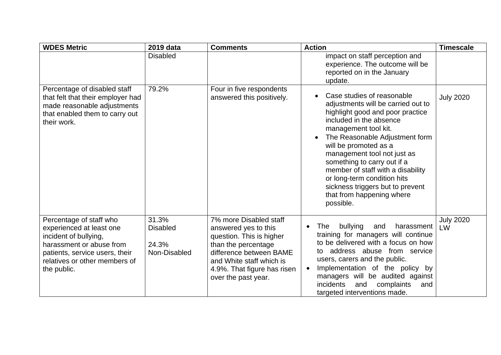| <b>WDES Metric</b>                                                                                                                                                                         | 2019 data                                         | <b>Comments</b>                                                                                                                                                                                                | <b>Action</b>                                                                                                                                                                                                                                                                                                                                                                                                                                   | <b>Timescale</b>       |
|--------------------------------------------------------------------------------------------------------------------------------------------------------------------------------------------|---------------------------------------------------|----------------------------------------------------------------------------------------------------------------------------------------------------------------------------------------------------------------|-------------------------------------------------------------------------------------------------------------------------------------------------------------------------------------------------------------------------------------------------------------------------------------------------------------------------------------------------------------------------------------------------------------------------------------------------|------------------------|
|                                                                                                                                                                                            | <b>Disabled</b>                                   |                                                                                                                                                                                                                | impact on staff perception and<br>experience. The outcome will be<br>reported on in the January<br>update.                                                                                                                                                                                                                                                                                                                                      |                        |
| Percentage of disabled staff<br>that felt that their employer had<br>made reasonable adjustments<br>that enabled them to carry out<br>their work.                                          | 79.2%                                             | Four in five respondents<br>answered this positively.                                                                                                                                                          | Case studies of reasonable<br>adjustments will be carried out to<br>highlight good and poor practice<br>included in the absence<br>management tool kit.<br>The Reasonable Adjustment form<br>$\bullet$<br>will be promoted as a<br>management tool not just as<br>something to carry out if a<br>member of staff with a disability<br>or long-term condition hits<br>sickness triggers but to prevent<br>that from happening where<br>possible. | <b>July 2020</b>       |
| Percentage of staff who<br>experienced at least one<br>incident of bullying,<br>harassment or abuse from<br>patients, service users, their<br>relatives or other members of<br>the public. | 31.3%<br><b>Disabled</b><br>24.3%<br>Non-Disabled | 7% more Disabled staff<br>answered yes to this<br>question. This is higher<br>than the percentage<br>difference between BAME<br>and White staff which is<br>4.9%. That figure has risen<br>over the past year. | bullying<br>harassment<br>The<br>and<br>training for managers will continue<br>to be delivered with a focus on how<br>address abuse from service<br>to<br>users, carers and the public.<br>Implementation of the policy by<br>$\bullet$<br>managers will be audited against<br>incidents<br>and<br>complaints<br>and<br>targeted interventions made.                                                                                            | <b>July 2020</b><br>LW |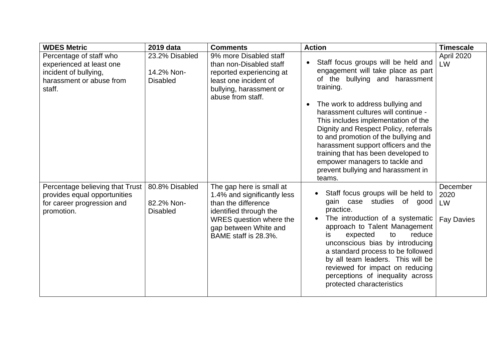| <b>WDES Metric</b>                                                                                                 | 2019 data                                       | <b>Comments</b>                                                                                                                                                                      | <b>Action</b>                                                                                                                                                                                                                                                                                                                                                                                                                                                                               | <b>Timescale</b>                            |
|--------------------------------------------------------------------------------------------------------------------|-------------------------------------------------|--------------------------------------------------------------------------------------------------------------------------------------------------------------------------------------|---------------------------------------------------------------------------------------------------------------------------------------------------------------------------------------------------------------------------------------------------------------------------------------------------------------------------------------------------------------------------------------------------------------------------------------------------------------------------------------------|---------------------------------------------|
| Percentage of staff who<br>experienced at least one<br>incident of bullying,<br>harassment or abuse from<br>staff. | 23.2% Disabled<br>14.2% Non-<br><b>Disabled</b> | 9% more Disabled staff<br>than non-Disabled staff<br>reported experiencing at<br>least one incident of<br>bullying, harassment or<br>abuse from staff.                               | Staff focus groups will be held and<br>engagement will take place as part<br>of the bullying and harassment<br>training.<br>The work to address bullying and<br>harassment cultures will continue -<br>This includes implementation of the<br>Dignity and Respect Policy, referrals<br>to and promotion of the bullying and<br>harassment support officers and the<br>training that has been developed to<br>empower managers to tackle and<br>prevent bullying and harassment in<br>teams. | April 2020<br>LW                            |
| Percentage believing that Trust  <br>provides equal opportunities<br>for career progression and<br>promotion.      | 80.8% Disabled<br>82.2% Non-<br><b>Disabled</b> | The gap here is small at<br>1.4% and significantly less<br>than the difference<br>identified through the<br>WRES question where the<br>gap between White and<br>BAME staff is 28.3%. | Staff focus groups will be held to<br>gain case studies of good<br>practice.<br>The introduction of a systematic<br>$\bullet$<br>approach to Talent Management<br>expected<br>to<br>reduce<br><b>is</b><br>unconscious bias by introducing<br>a standard process to be followed<br>by all team leaders. This will be<br>reviewed for impact on reducing<br>perceptions of inequality across<br>protected characteristics                                                                    | December<br>2020<br>LW<br><b>Fay Davies</b> |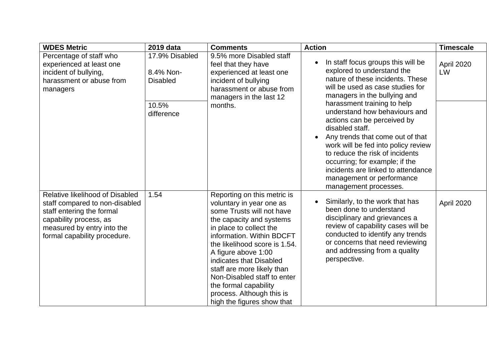| <b>WDES Metric</b>                                                                                                                                                                     | 2019 data                                                             | <b>Comments</b>                                                                                                                                                                                                                                                                                                                                                                                              | <b>Action</b>                                                                                                                                                                                                                                                                                                                                                                                                                                                                                                                                       | <b>Timescale</b> |
|----------------------------------------------------------------------------------------------------------------------------------------------------------------------------------------|-----------------------------------------------------------------------|--------------------------------------------------------------------------------------------------------------------------------------------------------------------------------------------------------------------------------------------------------------------------------------------------------------------------------------------------------------------------------------------------------------|-----------------------------------------------------------------------------------------------------------------------------------------------------------------------------------------------------------------------------------------------------------------------------------------------------------------------------------------------------------------------------------------------------------------------------------------------------------------------------------------------------------------------------------------------------|------------------|
| Percentage of staff who<br>experienced at least one<br>incident of bullying,<br>harassment or abuse from<br>managers                                                                   | 17.9% Disabled<br>8.4% Non-<br><b>Disabled</b><br>10.5%<br>difference | 9.5% more Disabled staff<br>feel that they have<br>experienced at least one<br>incident of bullying<br>harassment or abuse from<br>managers in the last 12<br>months.                                                                                                                                                                                                                                        | In staff focus groups this will be<br>$\bullet$<br>explored to understand the<br>nature of these incidents. These<br>will be used as case studies for<br>managers in the bullying and<br>harassment training to help<br>understand how behaviours and<br>actions can be perceived by<br>disabled staff.<br>Any trends that come out of that<br>work will be fed into policy review<br>to reduce the risk of incidents<br>occurring; for example; if the<br>incidents are linked to attendance<br>management or performance<br>management processes. | April 2020<br>LW |
| Relative likelihood of Disabled<br>staff compared to non-disabled<br>staff entering the formal<br>capability process, as<br>measured by entry into the<br>formal capability procedure. | 1.54                                                                  | Reporting on this metric is<br>voluntary in year one as<br>some Trusts will not have<br>the capacity and systems<br>in place to collect the<br>information. Within BDCFT<br>the likelihood score is 1.54.<br>A figure above 1:00<br>indicates that Disabled<br>staff are more likely than<br>Non-Disabled staff to enter<br>the formal capability<br>process. Although this is<br>high the figures show that | Similarly, to the work that has<br>٠<br>been done to understand<br>disciplinary and grievances a<br>review of capability cases will be<br>conducted to identify any trends<br>or concerns that need reviewing<br>and addressing from a quality<br>perspective.                                                                                                                                                                                                                                                                                      | April 2020       |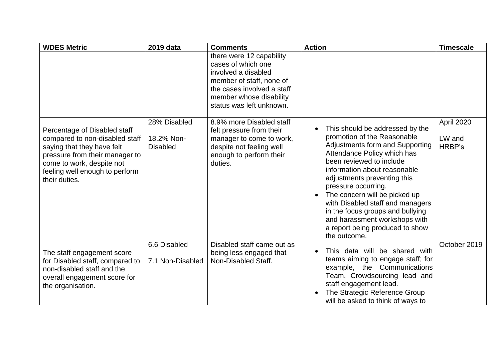| <b>WDES Metric</b>                                                                                                                                                                                             | 2019 data                                     | <b>Comments</b>                                                                                                                                                                        | <b>Action</b>                                                                                                                                                                                                                                                                                                                                                                                                                                                | <b>Timescale</b>               |
|----------------------------------------------------------------------------------------------------------------------------------------------------------------------------------------------------------------|-----------------------------------------------|----------------------------------------------------------------------------------------------------------------------------------------------------------------------------------------|--------------------------------------------------------------------------------------------------------------------------------------------------------------------------------------------------------------------------------------------------------------------------------------------------------------------------------------------------------------------------------------------------------------------------------------------------------------|--------------------------------|
|                                                                                                                                                                                                                |                                               | there were 12 capability<br>cases of which one<br>involved a disabled<br>member of staff, none of<br>the cases involved a staff<br>member whose disability<br>status was left unknown. |                                                                                                                                                                                                                                                                                                                                                                                                                                                              |                                |
| Percentage of Disabled staff<br>compared to non-disabled staff<br>saying that they have felt<br>pressure from their manager to<br>come to work, despite not<br>feeling well enough to perform<br>their duties. | 28% Disabled<br>18.2% Non-<br><b>Disabled</b> | 8.9% more Disabled staff<br>felt pressure from their<br>manager to come to work,<br>despite not feeling well<br>enough to perform their<br>duties.                                     | This should be addressed by the<br>promotion of the Reasonable<br>Adjustments form and Supporting<br>Attendance Policy which has<br>been reviewed to include<br>information about reasonable<br>adjustments preventing this<br>pressure occurring.<br>The concern will be picked up<br>$\bullet$<br>with Disabled staff and managers<br>in the focus groups and bullying<br>and harassment workshops with<br>a report being produced to show<br>the outcome. | April 2020<br>LW and<br>HRBP's |
| The staff engagement score<br>for Disabled staff, compared to<br>non-disabled staff and the<br>overall engagement score for<br>the organisation.                                                               | 6.6 Disabled<br>7.1 Non-Disabled              | Disabled staff came out as<br>being less engaged that<br>Non-Disabled Staff.                                                                                                           | This data will be shared with<br>teams aiming to engage staff; for<br>example, the Communications<br>Team, Crowdsourcing lead and<br>staff engagement lead.<br>The Strategic Reference Group<br>will be asked to think of ways to                                                                                                                                                                                                                            | October 2019                   |